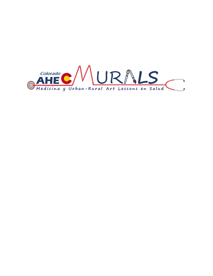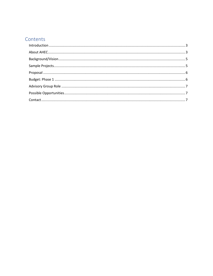# Contents

<span id="page-1-0"></span>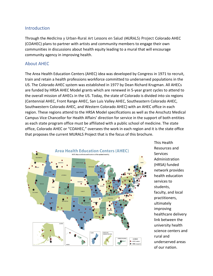### Introduction

Through the Medicina y Urban-Rural Art Lessons en Salud (MURALS) Project Colorado AHEC (COAHEC) plans to partner with artists and community members to engage their own communities in discussions about health equity leading to a mural that will encourage community agency in improving health.

#### <span id="page-2-0"></span>About AHEC

The Area Health Education Centers (AHEC) idea was developed by Congress in 1971 to recruit, train and retain a health professions workforce committed to underserved populations in the US. The Colorado AHEC system was established in 1977 by Dean Richard Krugman. All AHECs are funded by HRSA AHEC Model grants which are renewed in 5-year grant cycles to attend to the overall mission of AHECs in the US. Today, the state of Colorado is divided into six regions (Centennial AHEC, Front Range AHEC, San Luis Valley AHEC, Southeastern Colorado AHEC, Southwestern Colorado AHEC, and Western Colorado AHEC) with an AHEC office in each region. These regions attend to the HRSA Model specifications as well as the Anschutz Medical Campus Vice Chancellor for Health Affairs' direction for service in the support of both entities as each state program office must be affiliated with a public school of medicine. The state office, Colorado AHEC or "COAHEC," oversees the work in each region and it is the state office that proposes the current MURALS Project that is the focus of this brochure.



This Health Resources and **Services** Administration (HRSA) funded network provides health education services to students, faculty, and local practitioners, ultimately improving healthcare delivery link between the university health science centers and rural and underserved areas of our nation.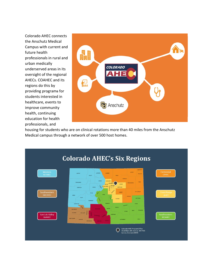Colorado AHEC connects the Anschutz Medical Campus with current and future health professionals in rural and urban medically underserved areas in its oversight of the regional AHECs. COAHEC and its regions do this by providing programs for students interested in healthcare, events to improve community health, continuing education for health professionals, and



housing for students who are on clinical rotations more than 40 miles from the Anschutz Medical campus through a network of over 500 host homes.

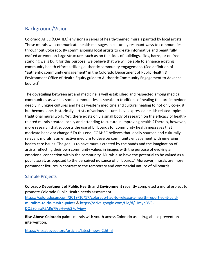# <span id="page-4-0"></span>Background/Vision

Colorado AHEC (COAHEC) envisions a series of health-themed murals painted by local artists. These murals will communicate health messages in culturally resonant ways to communities throughout Colorado. By commissioning local artists to create informative and beautifully crafted artwork on large structures such as on the sides of buildings, silos, barns, or on freestanding walls built for this purpose, we believe that we will be able to enhance existing community health efforts utilizing authentic community engagement. (See definition of "authentic community engagement" in the Colorado Department of Public Health & Environment Office of Health Equity guide to Authentic Community Engagement to Advance Equity.) 1

The dovetailing between art and medicine is well established and respected among medical communities as well as social communities. It speaks to traditions of healing that are imbedded deeply in unique cultures and helps western medicine and cultural healing to not only co-exist but become one. Historically, artists of various cultures have expressed health related topics in traditional mural work. Yet, there exists only a small body of research on the efficacy of healthrelated murals created locally and attending to culture in improving health.2There is, however, more research that supports the use of billboards for community health messages that motivate behavior change.<sup>3</sup> To this end, COAHEC believes that locally sourced and culturally relevant murals is an effective medium to develop community engagement with emerging health care issues. The goal is to have murals created by the hands and the imagination of artists reflecting their own community values in images with the purpose of evoking an emotional connection within the community. Murals also have the potential to be valued as a public asset, as opposed to the perceived nuisance of billboards. <sup>4</sup> Moreover, murals are more permanent fixtures in contrast to the temporary and commercial nature of billboards.

# <span id="page-4-1"></span>Sample Projects

**Colorado Department of Public Health and Environment** recently completed a mural project to promote Colorado Public Health needs assessment.

[https://coloradosun.com/2019/10/17/colorado-had-to-release-a-health-report-so-it-paid](https://coloradosun.com/2019/10/17/colorado-had-to-release-a-health-report-so-it-paid-muralists-to-do-it-with-paint/)[muralists-to-do-it-with-paint/](https://coloradosun.com/2019/10/17/colorado-had-to-release-a-health-report-so-it-paid-muralists-to-do-it-with-paint/) & [https://drive.google.com/file/d/1JmyqDV3-](https://drive.google.com/file/d/1JmyqDV3-DO5S0nraP5ARg7FreHyw63Fq/view) [DO5S0nraP5ARg7FreHyw63Fq/view](https://drive.google.com/file/d/1JmyqDV3-DO5S0nraP5ARg7FreHyw63Fq/view)

**Rise Above Colorado** paints murals with youth across Colorado as a drug abuse prevention intervention.

<https://riseaboveco.org/articles/latest-news-2.html>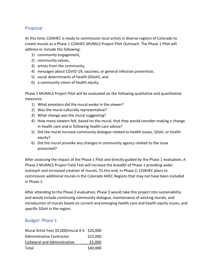# <span id="page-5-0"></span>Proposal

At this time, COAHEC is ready to commission local artists in diverse regions of Colorado to create murals as a Phase 1 COAHEC MURALS Project Pilot Outreach. The Phase 1 Pilot will address or include the following:

- 1) community engagement,
- 2) community values,
- 3) artists from the community,
- 4) messages about COVID-19, vaccines, or general infection prevention,
- 5) social determinants of health (SDoH), and
- 6) a community vision of health equity.

Phase 1 MURALS Project Pilot will be evaluated on the following qualitative and quantitative measures:

- 1) What emotions did the mural evoke in the viewer?
- 2) Was the mural culturally representative?
- 3) What change was the mural suggesting?
- 4) How many viewers felt, based on the mural, that they would consider making a change in health care and in following health care advice?
- 5) Did the mural increase community dialogue related to health issues, SDoH, or health equity?
- 6) Did the mural provoke any changes in community agency related to the issue presented?

After assessing the impact of the Phase 1 Pilot and directly guided by the Phase 1 evaluation, A Phase 2 MURALS Project Field Test will increase the breadth of Phase 1 providing wider outreach and increased creation of murals. To this end, in Phase 2, COAHEC plans to commission additional murals in the Colorado AHEC Regions that may not have been included in Phase 1.

After attending to the Phase 2 evaluation, Phase 3 would take this project into sustainability and would include continuing community dialogue, maintenance of existing murals, and introduction of murals based on current and emerging health care and health equity issues, and specific SDoH in the region.

# <span id="page-5-1"></span>Budget: Phase 1

| Mural Artist Fees \$5,000/mural X 4 \$20,000 |          |
|----------------------------------------------|----------|
| Administrative Contractor                    | \$15,000 |
| <b>Collateral and Administrative</b>         | \$5,000  |
| Total                                        | \$40,000 |